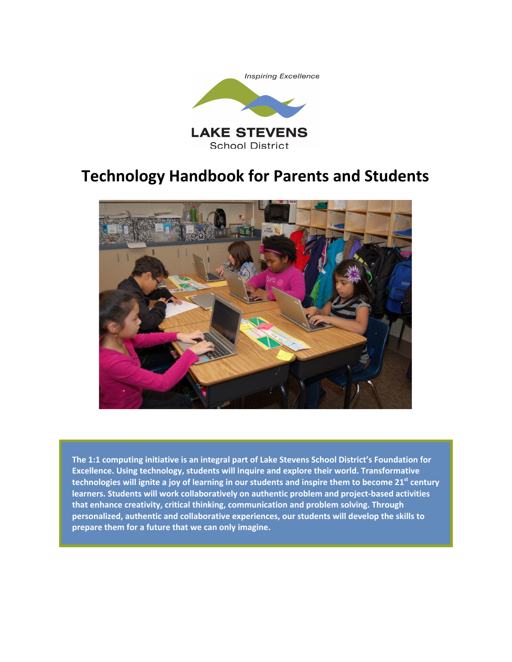



**The 1:1 computing initiative is an integral part of Lake Stevens School District's Foundation for Excellence. Using technology, students will inquire and explore their world. Transformative** technologies will ignite a joy of learning in our students and inspire them to become 21<sup>st</sup> century **learners. Students will work collaboratively on authentic problem and project-based activities that enhance creativity, critical thinking, communication and problem solving. Through personalized, authentic and collaborative experiences, our students will develop the skills to prepare them for a future that we can only imagine.**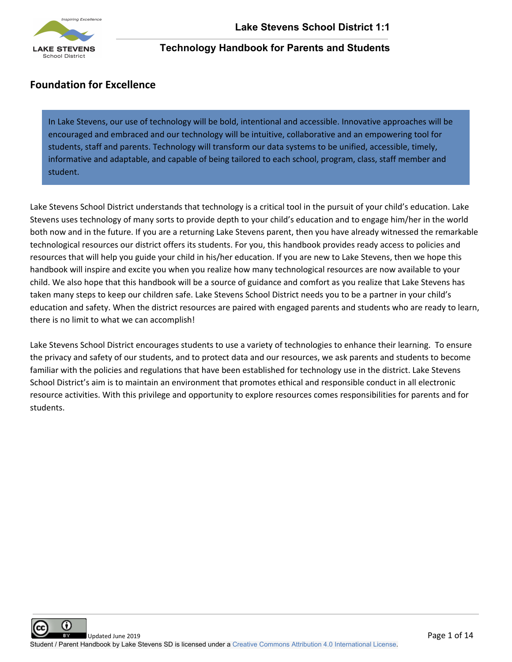

# **Foundation for Excellence**

In Lake Stevens, our use of technology will be bold, intentional and accessible. Innovative approaches will be encouraged and embraced and our technology will be intuitive, collaborative and an empowering tool for students, staff and parents. Technology will transform our data systems to be unified, accessible, timely, informative and adaptable, and capable of being tailored to each school, program, class, staff member and student.

Lake Stevens School District understands that technology is a critical tool in the pursuit of your child's education. Lake Stevens uses technology of many sorts to provide depth to your child's education and to engage him/her in the world both now and in the future. If you are a returning Lake Stevens parent, then you have already witnessed the remarkable technological resources our district offers its students. For you, this handbook provides ready access to policies and resources that will help you guide your child in his/her education. If you are new to Lake Stevens, then we hope this handbook will inspire and excite you when you realize how many technological resources are now available to your child. We also hope that this handbook will be a source of guidance and comfort as you realize that Lake Stevens has taken many steps to keep our children safe. Lake Stevens School District needs you to be a partner in your child's education and safety. When the district resources are paired with engaged parents and students who are ready to learn, there is no limit to what we can accomplish!

Lake Stevens School District encourages students to use a variety of technologies to enhance their learning. To ensure the privacy and safety of our students, and to protect data and our resources, we ask parents and students to become familiar with the policies and regulations that have been established for technology use in the district. Lake Stevens School District's aim is to maintain an environment that promotes ethical and responsible conduct in all electronic resource activities. With this privilege and opportunity to explore resources comes responsibilities for parents and for students.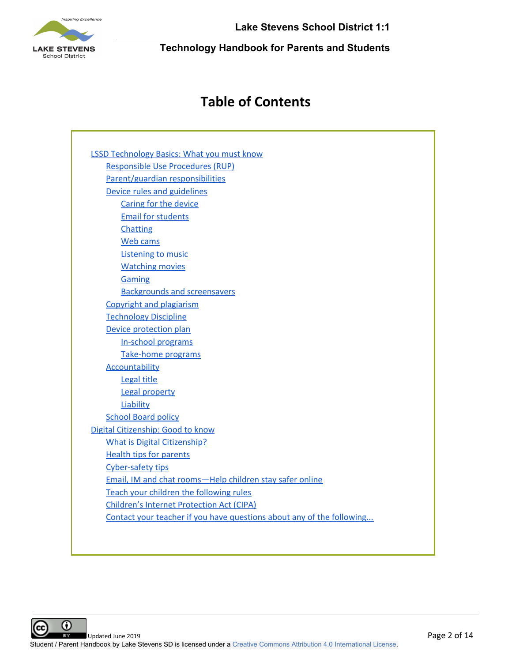

**Lake Stevens School District 1:1**

**Technology Handbook for Parents and Students**

# **Table of Contents**

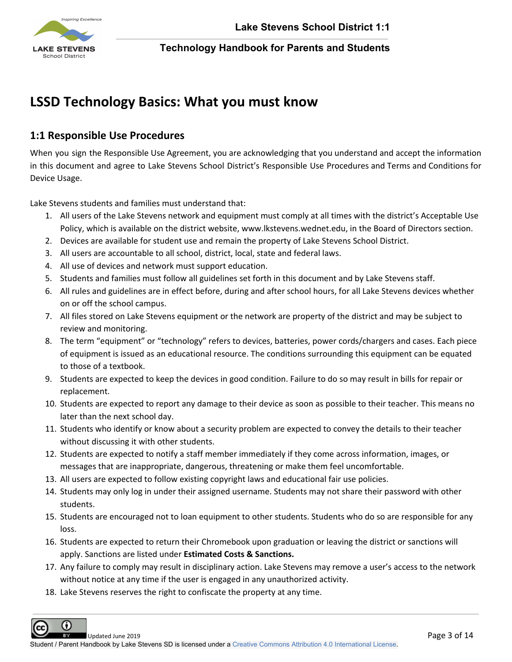

# <span id="page-3-0"></span>**LSSD Technology Basics: What you must know**

# <span id="page-3-1"></span>**1:1 Responsible Use Procedures**

When you sign the Responsible Use Agreement, you are acknowledging that you understand and accept the information in this document and agree to Lake Stevens School District's Responsible Use Procedures and Terms and Conditions for Device Usage.

Lake Stevens students and families must understand that:

- 1. All users of the Lake Stevens network and equipment must comply at all times with the district's Acceptable Use Policy, which is available on the district website, www.lkstevens.wednet.edu, in the Board of Directors section.
- 2. Devices are available for student use and remain the property of Lake Stevens School District.
- 3. All users are accountable to all school, district, local, state and federal laws.
- 4. All use of devices and network must support education.
- 5. Students and families must follow all guidelines set forth in this document and by Lake Stevens staff.
- 6. All rules and guidelines are in effect before, during and after school hours, for all Lake Stevens devices whether on or off the school campus.
- 7. All files stored on Lake Stevens equipment or the network are property of the district and may be subject to review and monitoring.
- 8. The term "equipment" or "technology" refers to devices, batteries, power cords/chargers and cases. Each piece of equipment is issued as an educational resource. The conditions surrounding this equipment can be equated to those of a textbook.
- 9. Students are expected to keep the devices in good condition. Failure to do so may result in bills for repair or replacement.
- 10. Students are expected to report any damage to their device as soon as possible to their teacher. This means no later than the next school day.
- 11. Students who identify or know about a security problem are expected to convey the details to their teacher without discussing it with other students.
- 12. Students are expected to notify a staff member immediately if they come across information, images, or messages that are inappropriate, dangerous, threatening or make them feel uncomfortable.
- 13. All users are expected to follow existing copyright laws and educational fair use policies.
- 14. Students may only log in under their assigned username. Students may not share their password with other students.
- 15. Students are encouraged not to loan equipment to other students. Students who do so are responsible for any loss.
- 16. Students are expected to return their Chromebook upon graduation or leaving the district or sanctions will apply. Sanctions are listed under **Estimated Costs & Sanctions.**
- 17. Any failure to comply may result in disciplinary action. Lake Stevens may remove a user's access to the network without notice at any time if the user is engaged in any unauthorized activity.
- 18. Lake Stevens reserves the right to confiscate the property at any time.

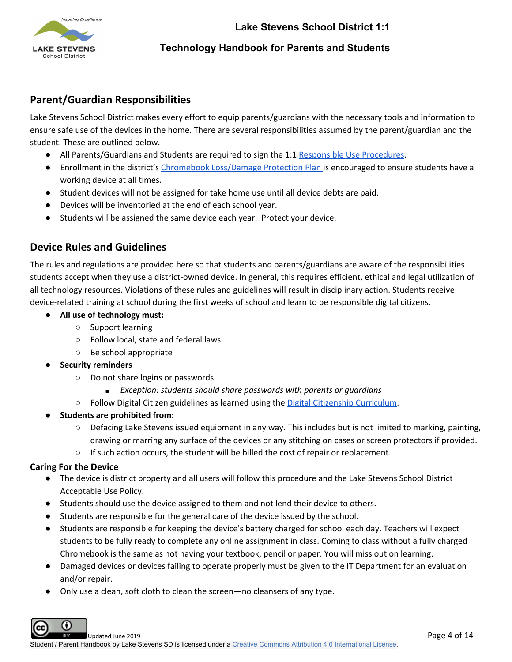

# <span id="page-4-0"></span>**Parent/Guardian Responsibilities**

Lake Stevens School District makes every effort to equip parents/guardians with the necessary tools and information to ensure safe use of the devices in the home. There are several responsibilities assumed by the parent/guardian and the student. These are outlined below.

- All Parents/Guardians and Students are required to sign the [1:1](https://docs.google.com/document/d/1XazAaycMtcjySssxOGjNVxopBpjCVvuSQ7x89VF2iF0/edit?usp=sharing) [Responsible](https://docs.google.com/document/d/1XazAaycMtcjySssxOGjNVxopBpjCVvuSQ7x89VF2iF0/edit?usp=sharing) Use Procedures.
- Enrollment in the district's Chromebook [Loss/Damage](https://drive.google.com/a/lkstevens.wednet.edu/open?id=1QTXJerEs7oFnX8esajqvpr722X1F8xHRM9tIOYzbw74) Protection Plan is encouraged to ensure students have a working device at all times.
- Student devices will not be assigned for take home use until all device debts are paid.
- Devices will be inventoried at the end of each school year.
- Students will be assigned the same device each year. Protect your device.

# <span id="page-4-1"></span>**Device Rules and Guidelines**

The rules and regulations are provided here so that students and parents/guardians are aware of the responsibilities students accept when they use a district-owned device. In general, this requires efficient, ethical and legal utilization of all technology resources. Violations of these rules and guidelines will result in disciplinary action. Students receive device-related training at school during the first weeks of school and learn to be responsible digital citizens.

- **● All use of technology must:**
	- **○** Support learning
	- **○** Follow local, state and federal laws
	- **○** Be school appropriate
- **● Security reminders**
	- **○** Do not share logins or passwords
		- **■** *Exception: students should share passwords with parents or guardians*
	- **○** Follow Digital Citizen guidelines as learned using the Digital Citizenship [Curriculum.](https://drive.google.com/open?id=1aFj6EEH8aAoDzFq67ZIHKfmBk8wClq165HD10DST6V8&authuser=0)
- **● Students are prohibited from:**
	- **○** Defacing Lake Stevens issued equipment in any way. This includes but is not limited to marking, painting, drawing or marring any surface of the devices or any stitching on cases or screen protectors if provided.
	- **○** If such action occurs, the student will be billed the cost of repair or replacement.

### <span id="page-4-2"></span>**Caring For the Device**

- The device is district property and all users will follow this procedure and the Lake Stevens School District Acceptable Use Policy.
- Students should use the device assigned to them and not lend their device to others.
- Students are responsible for the general care of the device issued by the school.
- Students are responsible for keeping the device's battery charged for school each day. Teachers will expect students to be fully ready to complete any online assignment in class. Coming to class without a fully charged Chromebook is the same as not having your textbook, pencil or paper. You will miss out on learning.
- Damaged devices or devices failing to operate properly must be given to the IT Department for an evaluation and/or repair.
- Only use a clean, soft cloth to clean the screen—no cleansers of any type.

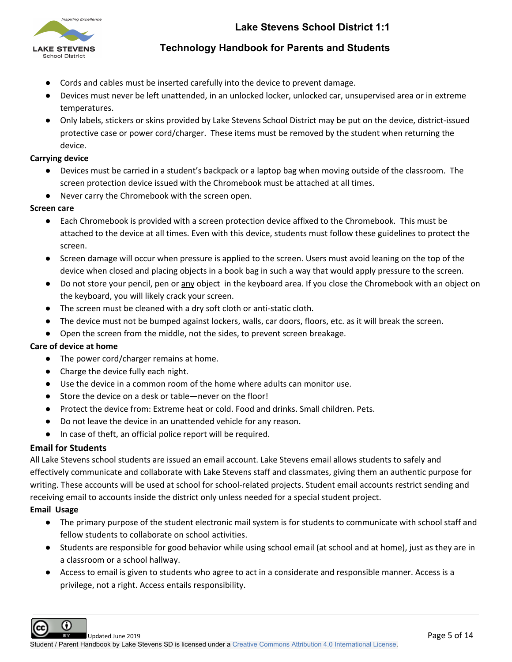

- Cords and cables must be inserted carefully into the device to prevent damage.
- Devices must never be left unattended, in an unlocked locker, unlocked car, unsupervised area or in extreme temperatures.
- Only labels, stickers or skins provided by Lake Stevens School District may be put on the device, district-issued protective case or power cord/charger. These items must be removed by the student when returning the device.

#### **Carrying device**

- Devices must be carried in a student's backpack or a laptop bag when moving outside of the classroom. The screen protection device issued with the Chromebook must be attached at all times.
- Never carry the Chromebook with the screen open.

#### **Screen care**

- Each Chromebook is provided with a screen protection device affixed to the Chromebook. This must be attached to the device at all times. Even with this device, students must follow these guidelines to protect the screen.
- Screen damage will occur when pressure is applied to the screen. Users must avoid leaning on the top of the device when closed and placing objects in a book bag in such a way that would apply pressure to the screen.
- Do not store your pencil, pen or any object in the keyboard area. If you close the Chromebook with an object on the keyboard, you will likely crack your screen.
- The screen must be cleaned with a dry soft cloth or anti-static cloth.
- The device must not be bumped against lockers, walls, car doors, floors, etc. as it will break the screen.
- Open the screen from the middle, not the sides, to prevent screen breakage.

#### **Care of device at home**

- The power cord/charger remains at home.
- Charge the device fully each night.
- Use the device in a common room of the home where adults can monitor use.
- Store the device on a desk or table—never on the floor!
- Protect the device from: Extreme heat or cold. Food and drinks. Small children. Pets.
- Do not leave the device in an unattended vehicle for any reason.
- In case of theft, an official police report will be required.

#### <span id="page-5-0"></span>**Email for Students**

All Lake Stevens school students are issued an email account. Lake Stevens email allows students to safely and effectively communicate and collaborate with Lake Stevens staff and classmates, giving them an authentic purpose for writing. These accounts will be used at school for school-related projects. Student email accounts restrict sending and receiving email to accounts inside the district only unless needed for a special student project.

#### **Email Usage**

- The primary purpose of the student electronic mail system is for students to communicate with school staff and fellow students to collaborate on school activities.
- Students are responsible for good behavior while using school email (at school and at home), just as they are in a classroom or a school hallway.
- Access to email is given to students who agree to act in a considerate and responsible manner. Access is a privilege, not a right. Access entails responsibility.

Ω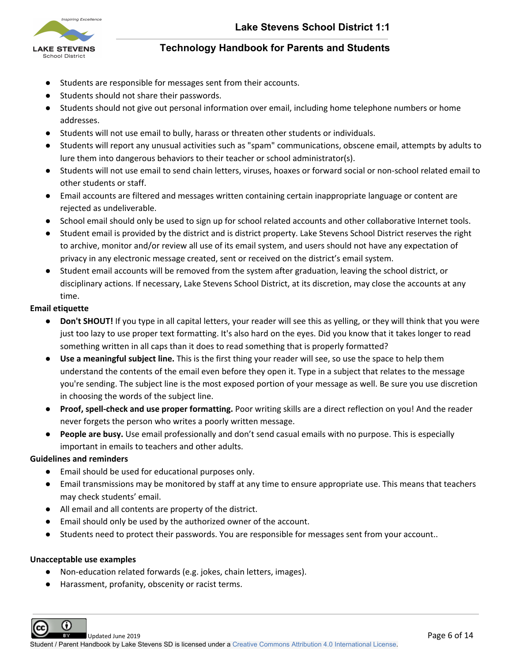

- Students are responsible for messages sent from their accounts.
- Students should not share their passwords.
- Students should not give out personal information over email, including home telephone numbers or home addresses.
- Students will not use email to bully, harass or threaten other students or individuals.
- Students will report any unusual activities such as "spam" communications, obscene email, attempts by adults to lure them into dangerous behaviors to their teacher or school administrator(s).
- Students will not use email to send chain letters, viruses, hoaxes or forward social or non-school related email to other students or staff.
- Email accounts are filtered and messages written containing certain inappropriate language or content are rejected as undeliverable.
- School email should only be used to sign up for school related accounts and other collaborative Internet tools.
- Student email is provided by the district and is district property. Lake Stevens School District reserves the right to archive, monitor and/or review all use of its email system, and users should not have any expectation of privacy in any electronic message created, sent or received on the district's email system.
- Student email accounts will be removed from the system after graduation, leaving the school district, or disciplinary actions. If necessary, Lake Stevens School District, at its discretion, may close the accounts at any time.

### **Email etiquette**

- **Don't SHOUT!** If you type in all capital letters, your reader will see this as yelling, or they will think that you were just too lazy to use proper text formatting. It's also hard on the eyes. Did you know that it takes longer to read something written in all caps than it does to read something that is properly formatted?
- **Use a meaningful subject line.** This is the first thing your reader will see, so use the space to help them understand the contents of the email even before they open it. Type in a subject that relates to the message you're sending. The subject line is the most exposed portion of your message as well. Be sure you use discretion in choosing the words of the subject line.
- **Proof, spell-check and use proper formatting.** Poor writing skills are a direct reflection on you! And the reader never forgets the person who writes a poorly written message.
- **People are busy.** Use email professionally and don't send casual emails with no purpose. This is especially important in emails to teachers and other adults.

### **Guidelines and reminders**

- Email should be used for educational purposes only.
- Email transmissions may be monitored by staff at any time to ensure appropriate use. This means that teachers may check students' email.
- All email and all contents are property of the district.
- Email should only be used by the authorized owner of the account.
- Students need to protect their passwords. You are responsible for messages sent from your account..

#### **Unacceptable use examples**

- Non-education related forwards (e.g. jokes, chain letters, images).
- Harassment, profanity, obscenity or racist terms.

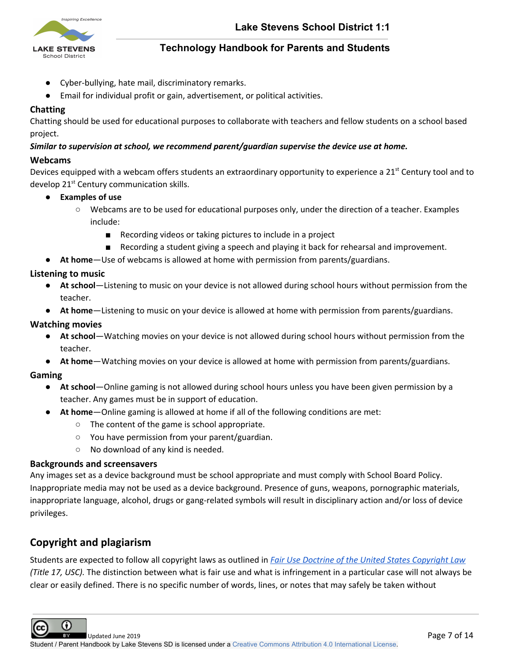

- Cyber-bullying, hate mail, discriminatory remarks.
- Email for individual profit or gain, advertisement, or political activities.

#### <span id="page-7-0"></span>**Chatting**

Chatting should be used for educational purposes to collaborate with teachers and fellow students on a school based project.

#### *Similar to supervision at school, we recommend parent/guardian supervise the device use at home.*

#### <span id="page-7-1"></span>**Webcams**

Devices equipped with a webcam offers students an extraordinary opportunity to experience a 21<sup>st</sup> Century tool and to develop 21<sup>st</sup> Century communication skills.

- **● Examples of use**
	- **○** Webcams are to be used for educational purposes only, under the direction of a teacher. Examples include:
		- Recording videos or taking pictures to include in a project
		- Recording a student giving a speech and playing it back for rehearsal and improvement.
- **● At home**—Use of webcams is allowed at home with permission from parents/guardians.

### <span id="page-7-2"></span>**Listening to music**

- **● At school**—Listening to music on your device is not allowed during school hours without permission from the teacher.
- **● At home**—Listening to music on your device is allowed at home with permission from parents/guardians.

#### <span id="page-7-3"></span>**Watching movies**

- **● At school**—Watching movies on your device is not allowed during school hours without permission from the teacher.
- **● At home**—Watching movies on your device is allowed at home with permission from parents/guardians.

### <span id="page-7-4"></span>**Gaming**

- **● At school**—Online gaming is not allowed during school hours unless you have been given permission by a teacher. Any games must be in support of education.
	- **● At home**—Online gaming is allowed at home if all of the following conditions are met:
		- **○** The content of the game is school appropriate.
		- **○** You have permission from your parent/guardian.
		- **○** No download of any kind is needed.

#### <span id="page-7-5"></span>**Backgrounds and screensavers**

Any images set as a device background must be school appropriate and must comply with School Board Policy. Inappropriate media may not be used as a device background. Presence of guns, weapons, pornographic materials, inappropriate language, alcohol, drugs or gang-related symbols will result in disciplinary action and/or loss of device privileges.

# <span id="page-7-6"></span>**Copyright and plagiarism**

Students are expected to follow all copyright laws as outlined in *Fair Use Doctrine of the United States [Copyright](http://www.copyright.gov/fls/fl102.html) Law (Title 17, USC).* The distinction between what is fair use and what is infringement in a particular case will not always be clear or easily defined. There is no specific number of words, lines, or notes that may safely be taken without

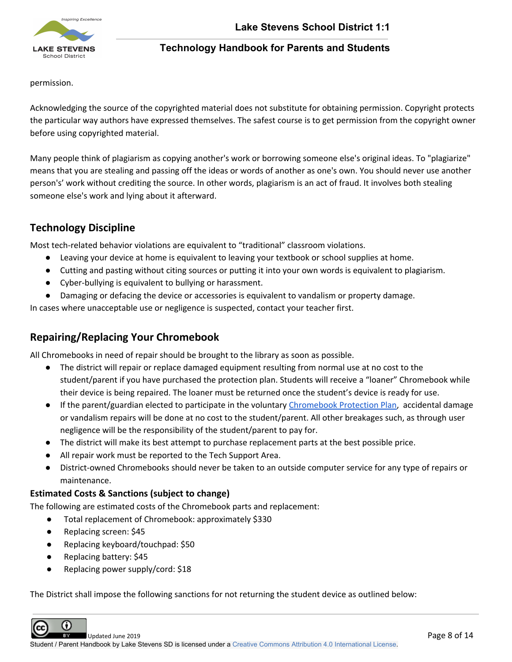

permission.

Acknowledging the source of the copyrighted material does not substitute for obtaining permission. Copyright protects the particular way authors have expressed themselves. The safest course is to get permission from the copyright owner before using copyrighted material.

Many people think of plagiarism as copying another's work or borrowing someone else's original ideas. To "plagiarize" means that you are stealing and passing off the ideas or words of another as one's own. You should never use another person's' work without crediting the source. In other words, plagiarism is an act of fraud. It involves both stealing someone else's work and lying about it afterward.

# <span id="page-8-0"></span>**Technology Discipline**

Most tech-related behavior violations are equivalent to "traditional" classroom violations.

- Leaving your device at home is equivalent to leaving your textbook or school supplies at home.
- Cutting and pasting without citing sources or putting it into your own words is equivalent to plagiarism.
- Cyber-bullying is equivalent to bullying or harassment.
- Damaging or defacing the device or accessories is equivalent to vandalism or property damage.

In cases where unacceptable use or negligence is suspected, contact your teacher first.

# **Repairing/Replacing Your Chromebook**

All Chromebooks in need of repair should be brought to the library as soon as possible.

- The district will repair or replace damaged equipment resulting from normal use at no cost to the student/parent if you have purchased the protection plan. Students will receive a "loaner" Chromebook while their device is being repaired. The loaner must be returned once the student's device is ready for use.
- If the parent/guardian elected to participate in the voluntary [Chromebook](https://drive.google.com/a/lkstevens.wednet.edu/open?id=1QTXJerEs7oFnX8esajqvpr722X1F8xHRM9tIOYzbw74) Protection Plan, accidental damage or vandalism repairs will be done at no cost to the student/parent. All other breakages such, as through user negligence will be the responsibility of the student/parent to pay for.
- The district will make its best attempt to purchase replacement parts at the best possible price.
- All repair work must be reported to the Tech Support Area.
- District-owned Chromebooks should never be taken to an outside computer service for any type of repairs or maintenance.

## **Estimated Costs & Sanctions (subject to change)**

The following are estimated costs of the Chromebook parts and replacement:

- Total replacement of Chromebook: approximately \$330
- Replacing screen: \$45
- Replacing keyboard/touchpad: \$50
- Replacing battery: \$45
- Replacing power supply/cord: \$18

The District shall impose the following sanctions for not returning the student device as outlined below:

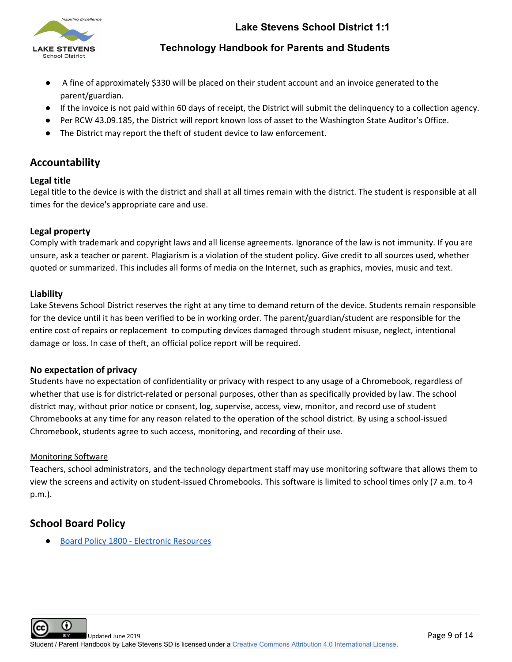

- A fine of approximately \$330 will be placed on their student account and an invoice generated to the parent/guardian.
- If the invoice is not paid within 60 days of receipt, the District will submit the delinquency to a collection agency.
- Per RCW 43.09.185, the District will report known loss of asset to the Washington State Auditor's Office.
- The District may report the theft of student device to law enforcement.

# <span id="page-9-0"></span>**Accountability**

### <span id="page-9-1"></span>**Legal title**

Legal title to the device is with the district and shall at all times remain with the district. The student is responsible at all times for the device's appropriate care and use.

## **Legal property**

Comply with trademark and copyright laws and all license agreements. Ignorance of the law is not immunity. If you are unsure, ask a teacher or parent. Plagiarism is a violation of the student policy. Give credit to all sources used, whether quoted or summarized. This includes all forms of media on the Internet, such as graphics, movies, music and text.

### <span id="page-9-2"></span>**Liability**

Lake Stevens School District reserves the right at any time to demand return of the device. Students remain responsible for the device until it has been verified to be in working order. The parent/guardian/student are responsible for the entire cost of repairs or replacement to computing devices damaged through student misuse, neglect, intentional damage or loss. In case of theft, an official police report will be required.

### **No expectation of privacy**

Students have no expectation of confidentiality or privacy with respect to any usage of a Chromebook, regardless of whether that use is for district-related or personal purposes, other than as specifically provided by law. The school district may, without prior notice or consent, log, supervise, access, view, monitor, and record use of student Chromebooks at any time for any reason related to the operation of the school district. By using a school-issued Chromebook, students agree to such access, monitoring, and recording of their use.

### Monitoring Software

Teachers, school administrators, and the technology department staff may use monitoring software that allows them to view the screens and activity on student-issued Chromebooks. This software is limited to school times only (7 a.m. to 4 p.m.).

# <span id="page-9-3"></span>**School Board Policy**

Board Policy 1800 - Electronic [Resources](https://sites.google.com/a/lkstevens.wednet.edu/lssddocs/school-board-policies/1000-series---board/1800%20-%20Electronic%20Resources.pdf)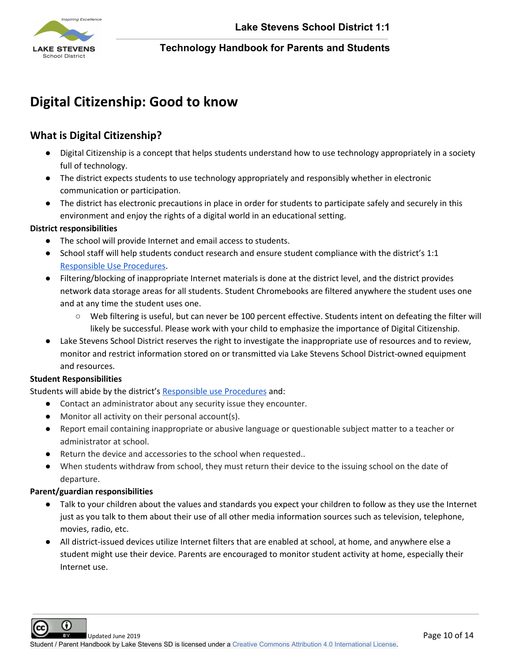

# <span id="page-10-0"></span>**Digital Citizenship: Good to know**

# <span id="page-10-1"></span>**What is Digital Citizenship?**

- Digital Citizenship is a concept that helps students understand how to use technology appropriately in a society full of technology.
- The district expects students to use technology appropriately and responsibly whether in electronic communication or participation.
- The district has electronic precautions in place in order for students to participate safely and securely in this environment and enjoy the rights of a digital world in an educational setting.

#### **District responsibilities**

- The school will provide Internet and email access to students.
- School staff will help students conduct research and ensure student compliance with the district's [1:1](https://docs.google.com/document/d/1XazAaycMtcjySssxOGjNVxopBpjCVvuSQ7x89VF2iF0/edit?usp=sharing) [Responsible](https://docs.google.com/document/d/1XazAaycMtcjySssxOGjNVxopBpjCVvuSQ7x89VF2iF0/edit?usp=sharing) Use Procedures.
- Filtering/blocking of inappropriate Internet materials is done at the district level, and the district provides network data storage areas for all students. Student Chromebooks are filtered anywhere the student uses one and at any time the student uses one.
	- Web filtering is useful, but can never be 100 percent effective. Students intent on defeating the filter will likely be successful. Please work with your child to emphasize the importance of Digital Citizenship.
- Lake Stevens School District reserves the right to investigate the inappropriate use of resources and to review, monitor and restrict information stored on or transmitted via Lake Stevens School District-owned equipment and resources.

### **Student Responsibilities**

Students will abide by the district's [Responsible](https://docs.google.com/document/d/1XazAaycMtcjySssxOGjNVxopBpjCVvuSQ7x89VF2iF0/edit?usp=sharing) use Procedures and:

- Contact an administrator about any security issue they encounter.
- Monitor all activity on their personal account(s).
- Report email containing inappropriate or abusive language or questionable subject matter to a teacher or administrator at school.
- Return the device and accessories to the school when requested..
- When students withdraw from school, they must return their device to the issuing school on the date of departure.

### **Parent/guardian responsibilities**

Ω

- Talk to your children about the values and standards you expect your children to follow as they use the Internet just as you talk to them about their use of all other media information sources such as television, telephone, movies, radio, etc.
- All district-issued devices utilize Internet filters that are enabled at school, at home, and anywhere else a student might use their device. Parents are encouraged to monitor student activity at home, especially their Internet use.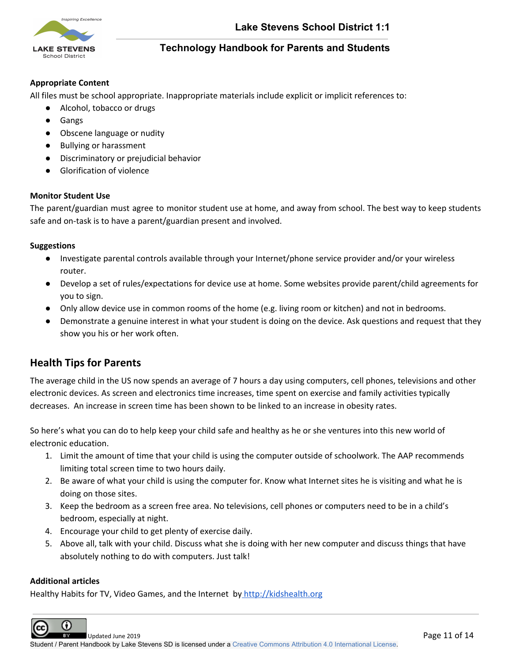

#### **Appropriate Content**

All files must be school appropriate. Inappropriate materials include explicit or implicit references to:

- Alcohol, tobacco or drugs
- Gangs
- Obscene language or nudity
- Bullying or harassment
- Discriminatory or prejudicial behavior
- Glorification of violence

#### **Monitor Student Use**

The parent/guardian must agree to monitor student use at home, and away from school. The best way to keep students safe and on-task is to have a parent/guardian present and involved.

#### **Suggestions**

- Investigate parental controls available through your Internet/phone service provider and/or your wireless router.
- Develop a set of rules/expectations for device use at home. Some websites provide parent/child agreements for you to sign.
- Only allow device use in common rooms of the home (e.g. living room or kitchen) and not in bedrooms.
- Demonstrate a genuine interest in what your student is doing on the device. Ask questions and request that they show you his or her work often.

# <span id="page-11-0"></span>**Health Tips for Parents**

The average child in the US now spends an average of 7 hours a day using computers, cell phones, televisions and other electronic devices. As screen and electronics time increases, time spent on exercise and family activities typically decreases. An increase in screen time has been shown to be linked to an increase in obesity rates.

So here's what you can do to help keep your child safe and healthy as he or she ventures into this new world of electronic education.

- 1. Limit the amount of time that your child is using the computer outside of schoolwork. The AAP recommends limiting total screen time to two hours daily.
- 2. Be aware of what your child is using the computer for. Know what Internet sites he is visiting and what he is doing on those sites.
- 3. Keep the bedroom as a screen free area. No televisions, cell phones or computers need to be in a child's bedroom, especially at night.
- 4. Encourage your child to get plenty of exercise daily.
- 5. Above all, talk with your child. Discuss what she is doing with her new computer and discuss things that have absolutely nothing to do with computers. Just talk!

#### **Additional articles**

Healthy Habits for TV, Video Games, and the Internet by [http://kidshealth.org](http://kidshealth.org/)

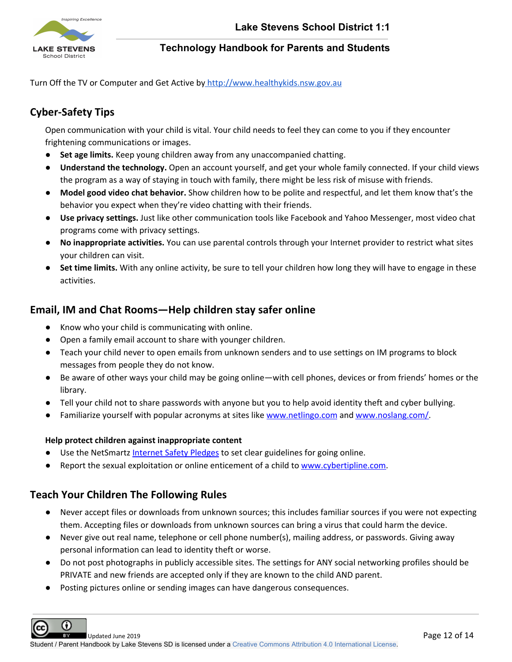

<span id="page-12-0"></span>Turn Off the TV or Computer and Get Active by [http://www.healthykids.nsw.gov.au](http://www.healthykids.nsw.gov.au/)

# **Cyber-Safety Tips**

Open communication with your child is vital. Your child needs to feel they can come to you if they encounter frightening communications or images.

- **Set age limits.** Keep young children away from any unaccompanied chatting.
- **Understand the technology.** Open an account yourself, and get your whole family connected. If your child views the program as a way of staying in touch with family, there might be less risk of misuse with friends.
- **Model good video chat behavior.** Show children how to be polite and respectful, and let them know that's the behavior you expect when they're video chatting with their friends.
- **Use privacy settings.** Just like other communication tools like Facebook and Yahoo Messenger, most video chat programs come with privacy settings.
- **No inappropriate activities.** You can use parental controls through your Internet provider to restrict what sites your children can visit.
- **Set time limits.** With any online activity, be sure to tell your children how long they will have to engage in these activities.

# <span id="page-12-1"></span>**Email, IM and Chat Rooms—Help children stay safer online**

- Know who your child is communicating with online.
- Open a family email account to share with younger children.
- Teach your child never to open emails from unknown senders and to use settings on IM programs to block messages from people they do not know.
- Be aware of other ways your child may be going online—with cell phones, devices or from friends' homes or the library.
- Tell your child not to share passwords with anyone but you to help avoid identity theft and cyber bullying.
- Familiarize yourself with popular acronyms at sites like www.netlingo.com and www.noslang.com/.

#### **Help protect children against inappropriate content**

- Use the NetSmartz [Internet](http://www.netsmartz.org/Resources/Pledges) Safety Pledges to set clear guidelines for going online.
- Report the sexual exploitation or online enticement of a child to [www.cybertipline.com.](http://www.cybertipline.com/)

# <span id="page-12-2"></span>**Teach Your Children The Following Rules**

- Never accept files or downloads from unknown sources; this includes familiar sources if you were not expecting them. Accepting files or downloads from unknown sources can bring a virus that could harm the device.
- Never give out real name, telephone or cell phone number(s), mailing address, or passwords. Giving away personal information can lead to identity theft or worse.
- Do not post photographs in publicly accessible sites. The settings for ANY social networking profiles should be PRIVATE and new friends are accepted only if they are known to the child AND parent.
- Posting pictures online or sending images can have dangerous consequences.

⋒